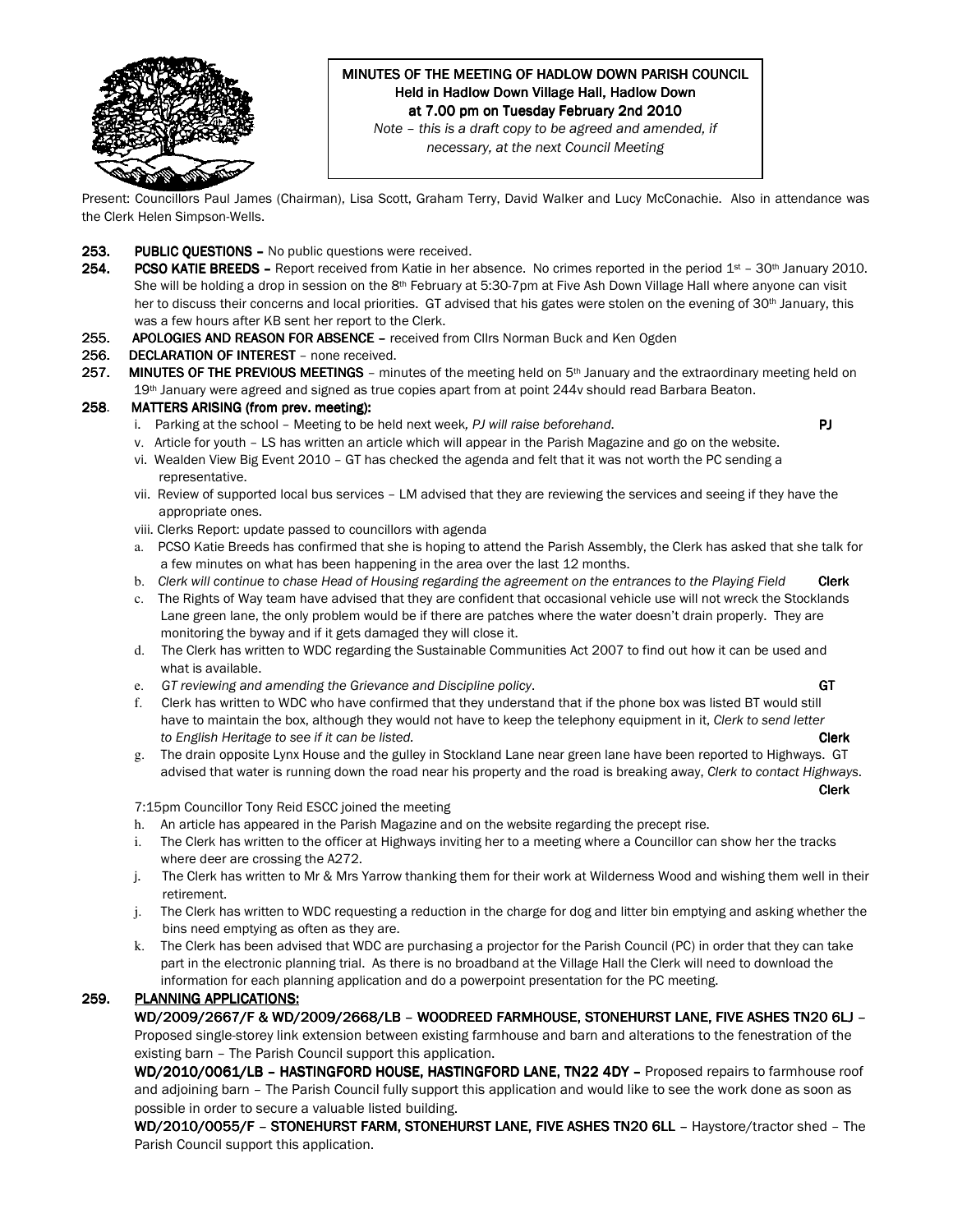

# MINUTES OF THE MEETING OF HADLOW DOWN PARISH COUNCIL Held in Hadlow Down Village Hall, Hadlow Down at 7.00 pm on Tuesday February 2nd 2010

Note – this is a draft copy to be agreed and amended, if necessary, at the next Council Meeting

Present: Councillors Paul James (Chairman), Lisa Scott, Graham Terry, David Walker and Lucy McConachie. Also in attendance was the Clerk Helen Simpson-Wells.

- 253. PUBLIC QUESTIONS No public questions were received.
- 254. PCSO KATIE BREEDS Report received from Katie in her absence. No crimes reported in the period  $1st 30th$  January 2010. She will be holding a drop in session on the  $8<sup>th</sup>$  February at 5:30-7pm at Five Ash Down Village Hall where anyone can visit her to discuss their concerns and local priorities. GT advised that his gates were stolen on the evening of 30<sup>th</sup> January, this was a few hours after KB sent her report to the Clerk.
- 255. APOLOGIES AND REASON FOR ABSENCE received from Cllrs Norman Buck and Ken Ogden

#### 256. DECLARATION OF INTEREST - none received.

257. MINUTES OF THE PREVIOUS MEETINGS – minutes of the meeting held on 5<sup>th</sup> January and the extraordinary meeting held on 19<sup>th</sup> January were agreed and signed as true copies apart from at point 244v should read Barbara Beaton.

### 258. MATTERS ARISING (from prev. meeting):

i. Parking at the school – Meeting to be held next week, PJ will raise beforehand. **PJ PJ** 

- v. Article for youth LS has written an article which will appear in the Parish Magazine and go on the website.
- vi. Wealden View Big Event 2010 GT has checked the agenda and felt that it was not worth the PC sending a representative.
- vii. Review of supported local bus services LM advised that they are reviewing the services and seeing if they have the appropriate ones.
- viii. Clerks Report: update passed to councillors with agenda
- a. PCSO Katie Breeds has confirmed that she is hoping to attend the Parish Assembly, the Clerk has asked that she talk for a few minutes on what has been happening in the area over the last 12 months.
- b. Clerk will continue to chase Head of Housing regarding the agreement on the entrances to the Playing Field Clerk

c. The Rights of Way team have advised that they are confident that occasional vehicle use will not wreck the Stocklands Lane green lane, the only problem would be if there are patches where the water doesn't drain properly. They are monitoring the byway and if it gets damaged they will close it.

- d. The Clerk has written to WDC regarding the Sustainable Communities Act 2007 to find out how it can be used and what is available.
- e. GT reviewing and amending the Grievance and Discipline policy. GT and the GT contact of GT
- f. Clerk has written to WDC who have confirmed that they understand that if the phone box was listed BT would still have to maintain the box, although they would not have to keep the telephony equipment in it, Clerk to send letter to English Heritage to see if it can be listed. Clerk to example the control of the clerk clerk clerk clerk clerk
- g. The drain opposite Lynx House and the gulley in Stockland Lane near green lane have been reported to Highways. GT advised that water is running down the road near his property and the road is breaking away, Clerk to contact Highways.

and the contract of the contract of the contract of the contract of the contract of the contract of the contract of the contract of the contract of the contract of the contract of the contract of the contract of the contra

7:15pm Councillor Tony Reid ESCC joined the meeting

- h. An article has appeared in the Parish Magazine and on the website regarding the precept rise.
- i. The Clerk has written to the officer at Highways inviting her to a meeting where a Councillor can show her the tracks where deer are crossing the A272.
- j. The Clerk has written to Mr & Mrs Yarrow thanking them for their work at Wilderness Wood and wishing them well in their retirement.
- j. The Clerk has written to WDC requesting a reduction in the charge for dog and litter bin emptying and asking whether the bins need emptying as often as they are.
- k. The Clerk has been advised that WDC are purchasing a projector for the Parish Council (PC) in order that they can take part in the electronic planning trial. As there is no broadband at the Village Hall the Clerk will need to download the information for each planning application and do a powerpoint presentation for the PC meeting.

# 259. PLANNING APPLICATIONS:

WD/2009/2667/F & WD/2009/2668/LB - WOODREED FARMHOUSE, STONEHURST LANE, FIVE ASHES TN20 6LJ -Proposed single-storey link extension between existing farmhouse and barn and alterations to the fenestration of the

existing barn – The Parish Council support this application.

WD/2010/0061/LB – HASTINGFORD HOUSE, HASTINGFORD LANE, TN22 4DY – Proposed repairs to farmhouse roof and adjoining barn – The Parish Council fully support this application and would like to see the work done as soon as possible in order to secure a valuable listed building.

WD/2010/0055/F - STONEHURST FARM, STONEHURST LANE, FIVE ASHES TN20 6LL - Haystore/tractor shed - The Parish Council support this application.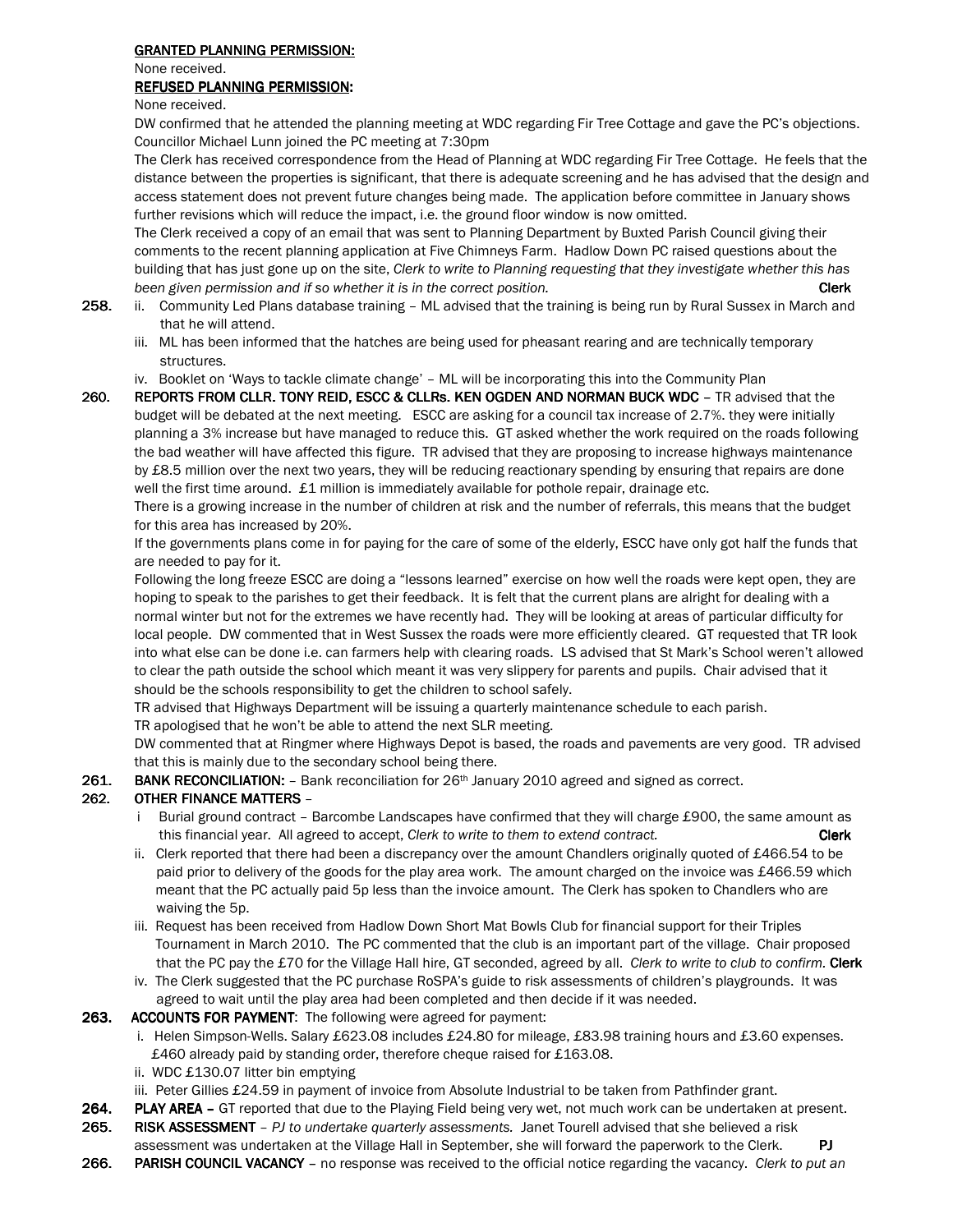# **GRANTED PLANNING PERMISSION:**

None received.

#### REFUSED PLANNING PERMISSION:

None received.

DW confirmed that he attended the planning meeting at WDC regarding Fir Tree Cottage and gave the PC's objections. Councillor Michael Lunn joined the PC meeting at 7:30pm

The Clerk has received correspondence from the Head of Planning at WDC regarding Fir Tree Cottage. He feels that the distance between the properties is significant, that there is adequate screening and he has advised that the design and access statement does not prevent future changes being made. The application before committee in January shows further revisions which will reduce the impact, i.e. the ground floor window is now omitted.

The Clerk received a copy of an email that was sent to Planning Department by Buxted Parish Council giving their comments to the recent planning application at Five Chimneys Farm. Hadlow Down PC raised questions about the building that has just gone up on the site, Clerk to write to Planning requesting that they investigate whether this has been given permission and if so whether it is in the correct position. The contract position of the contract position of  $\mathbb{C}$  lerk

- 258. ii. Community Led Plans database training ML advised that the training is being run by Rural Sussex in March and that he will attend.
	- iii. ML has been informed that the hatches are being used for pheasant rearing and are technically temporary structures.
	- iv. Booklet on 'Ways to tackle climate change' ML will be incorporating this into the Community Plan
- 260. REPORTS FROM CLLR. TONY REID, ESCC & CLLRs. KEN OGDEN AND NORMAN BUCK WDC TR advised that the budget will be debated at the next meeting. ESCC are asking for a council tax increase of 2.7%. they were initially planning a 3% increase but have managed to reduce this. GT asked whether the work required on the roads following the bad weather will have affected this figure. TR advised that they are proposing to increase highways maintenance by £8.5 million over the next two years, they will be reducing reactionary spending by ensuring that repairs are done well the first time around. £1 million is immediately available for pothole repair, drainage etc.

 There is a growing increase in the number of children at risk and the number of referrals, this means that the budget for this area has increased by 20%.

If the governments plans come in for paying for the care of some of the elderly, ESCC have only got half the funds that are needed to pay for it.

 Following the long freeze ESCC are doing a "lessons learned" exercise on how well the roads were kept open, they are hoping to speak to the parishes to get their feedback. It is felt that the current plans are alright for dealing with a normal winter but not for the extremes we have recently had. They will be looking at areas of particular difficulty for local people. DW commented that in West Sussex the roads were more efficiently cleared. GT requested that TR look into what else can be done i.e. can farmers help with clearing roads. LS advised that St Mark's School weren't allowed to clear the path outside the school which meant it was very slippery for parents and pupils. Chair advised that it should be the schools responsibility to get the children to school safely.

TR advised that Highways Department will be issuing a quarterly maintenance schedule to each parish.

TR apologised that he won't be able to attend the next SLR meeting.

 DW commented that at Ringmer where Highways Depot is based, the roads and pavements are very good. TR advised that this is mainly due to the secondary school being there.

261. BANK RECONCILIATION: - Bank reconciliation for 26<sup>th</sup> January 2010 agreed and signed as correct.

# 262. OTHER FINANCE MATTERS –

- i Burial ground contract Barcombe Landscapes have confirmed that they will charge £900, the same amount as this financial year. All agreed to accept, Clerk to write to them to extend contract. Clerk
- ii. Clerk reported that there had been a discrepancy over the amount Chandlers originally quoted of  $£466.54$  to be paid prior to delivery of the goods for the play area work. The amount charged on the invoice was £466.59 which meant that the PC actually paid 5p less than the invoice amount. The Clerk has spoken to Chandlers who are waiving the 5p.
- iii. Request has been received from Hadlow Down Short Mat Bowls Club for financial support for their Triples Tournament in March 2010. The PC commented that the club is an important part of the village. Chair proposed that the PC pay the £70 for the Village Hall hire, GT seconded, agreed by all. Clerk to write to club to confirm. Clerk
- iv. The Clerk suggested that the PC purchase RoSPA's guide to risk assessments of children's playgrounds. It was agreed to wait until the play area had been completed and then decide if it was needed.

263. ACCOUNTS FOR PAYMENT: The following were agreed for payment:

- i. Helen Simpson-Wells. Salary £623.08 includes £24.80 for mileage, £83.98 training hours and £3.60 expenses. £460 already paid by standing order, therefore cheque raised for £163.08.
- ii. WDC £130.07 litter bin emptying
- iii. Peter Gillies £24.59 in payment of invoice from Absolute Industrial to be taken from Pathfinder grant.
- 264. PLAY AREA GT reported that due to the Playing Field being very wet, not much work can be undertaken at present. 265. RISK ASSESSMENT - PJ to undertake quarterly assessments. Janet Tourell advised that she believed a risk
- assessment was undertaken at the Village Hall in September, she will forward the paperwork to the Clerk. PJ
- 266. PARISH COUNCIL VACANCY no response was received to the official notice regarding the vacancy. Clerk to put an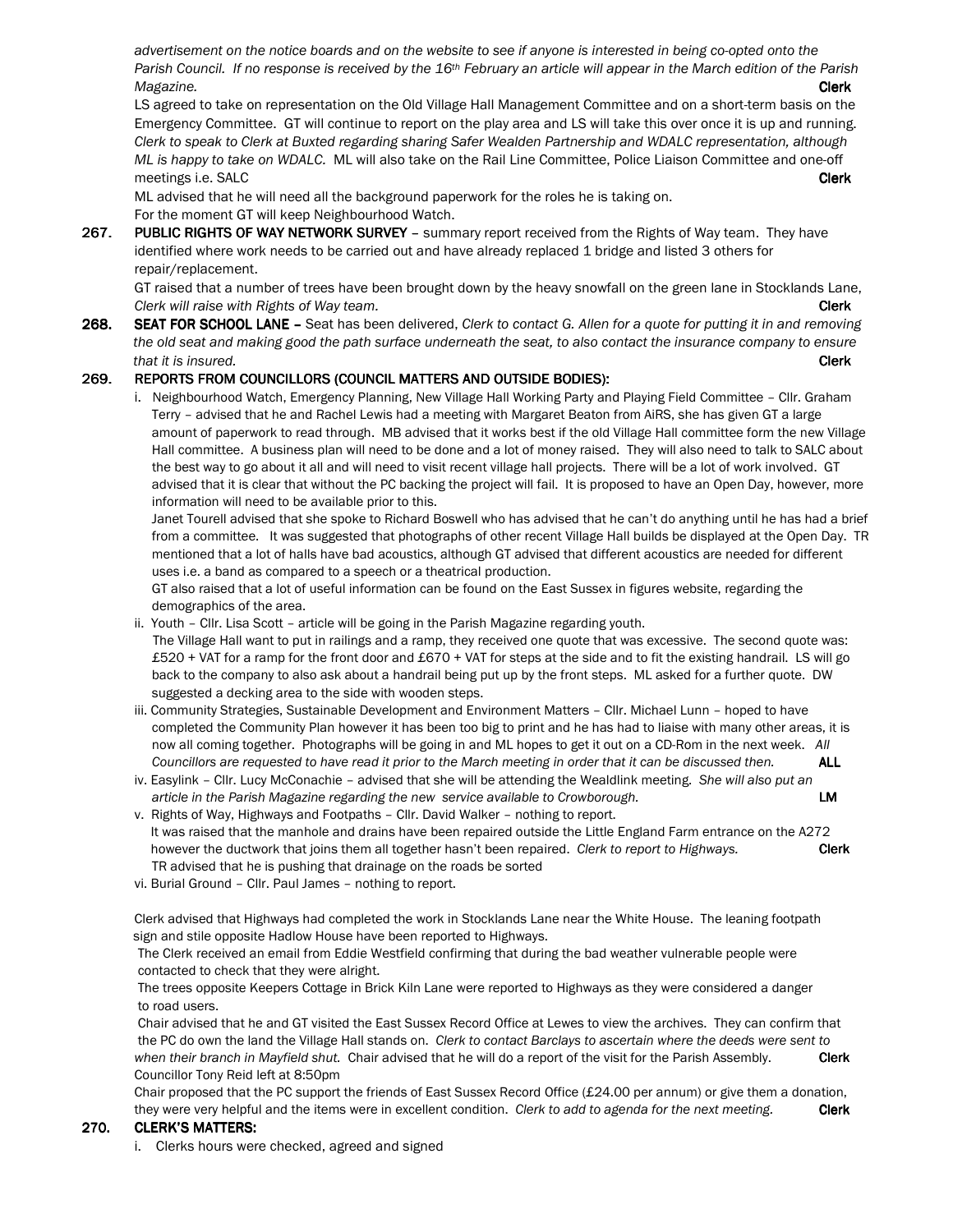advertisement on the notice boards and on the website to see if anyone is interested in being co-opted onto the Parish Council. If no response is received by the  $16th$  February an article will appear in the March edition of the Parish Magazine. Clerk

LS agreed to take on representation on the Old Village Hall Management Committee and on a short-term basis on the Emergency Committee. GT will continue to report on the play area and LS will take this over once it is up and running. Clerk to speak to Clerk at Buxted regarding sharing Safer Wealden Partnership and WDALC representation, although ML is happy to take on WDALC. ML will also take on the Rail Line Committee, Police Liaison Committee and one-off meetings i.e. SALC **Clerk** 

ML advised that he will need all the background paperwork for the roles he is taking on. For the moment GT will keep Neighbourhood Watch.

267. PUBLIC RIGHTS OF WAY NETWORK SURVEY - summary report received from the Rights of Way team. They have identified where work needs to be carried out and have already replaced 1 bridge and listed 3 others for repair/replacement.

 GT raised that a number of trees have been brought down by the heavy snowfall on the green lane in Stocklands Lane, Clerk will raise with Rights of Way team. Clearly a state of the control of the clerk clerk clerk clerk clerk

268. SEAT FOR SCHOOL LANE – Seat has been delivered, Clerk to contact G. Allen for a quote for putting it in and removing the old seat and making good the path surface underneath the seat, to also contact the insurance company to ensure that it is insured. **Clerk** 

### 269. REPORTS FROM COUNCILLORS (COUNCIL MATTERS AND OUTSIDE BODIES):

i. Neighbourhood Watch, Emergency Planning, New Village Hall Working Party and Playing Field Committee – Cllr. Graham Terry – advised that he and Rachel Lewis had a meeting with Margaret Beaton from AiRS, she has given GT a large amount of paperwork to read through. MB advised that it works best if the old Village Hall committee form the new Village Hall committee. A business plan will need to be done and a lot of money raised. They will also need to talk to SALC about the best way to go about it all and will need to visit recent village hall projects. There will be a lot of work involved. GT advised that it is clear that without the PC backing the project will fail. It is proposed to have an Open Day, however, more information will need to be available prior to this.

 Janet Tourell advised that she spoke to Richard Boswell who has advised that he can't do anything until he has had a brief from a committee. It was suggested that photographs of other recent Village Hall builds be displayed at the Open Day. TR mentioned that a lot of halls have bad acoustics, although GT advised that different acoustics are needed for different uses i.e. a band as compared to a speech or a theatrical production.

 GT also raised that a lot of useful information can be found on the East Sussex in figures website, regarding the demographics of the area.

- ii. Youth Cllr. Lisa Scott article will be going in the Parish Magazine regarding youth. The Village Hall want to put in railings and a ramp, they received one quote that was excessive. The second quote was: £520 + VAT for a ramp for the front door and £670 + VAT for steps at the side and to fit the existing handrail. LS will go back to the company to also ask about a handrail being put up by the front steps. ML asked for a further quote. DW suggested a decking area to the side with wooden steps.
- iii. Community Strategies, Sustainable Development and Environment Matters Cllr. Michael Lunn hoped to have completed the Community Plan however it has been too big to print and he has had to liaise with many other areas, it is now all coming together. Photographs will be going in and ML hopes to get it out on a CD-Rom in the next week. All Councillors are requested to have read it prior to the March meeting in order that it can be discussed then. ALL
- iv. Easylink Cllr. Lucy McConachie advised that she will be attending the Wealdlink meeting. She will also put an article in the Parish Magazine regarding the new service available to Crowborough. **LM**
- v. Rights of Way, Highways and Footpaths Cllr. David Walker nothing to report. It was raised that the manhole and drains have been repaired outside the Little England Farm entrance on the A272 however the ductwork that joins them all together hasn't been repaired. Clerk to report to Highways. Clerk TR advised that he is pushing that drainage on the roads be sorted
- vi. Burial Ground Cllr. Paul James nothing to report.

Clerk advised that Highways had completed the work in Stocklands Lane near the White House. The leaning footpath sign and stile opposite Hadlow House have been reported to Highways.

 The Clerk received an email from Eddie Westfield confirming that during the bad weather vulnerable people were contacted to check that they were alright.

 The trees opposite Keepers Cottage in Brick Kiln Lane were reported to Highways as they were considered a danger to road users.

 Chair advised that he and GT visited the East Sussex Record Office at Lewes to view the archives. They can confirm that the PC do own the land the Village Hall stands on. Clerk to contact Barclays to ascertain where the deeds were sent to when their branch in Mayfield shut. Chair advised that he will do a report of the visit for the Parish Assembly. Clerk Councillor Tony Reid left at 8:50pm

Chair proposed that the PC support the friends of East Sussex Record Office (£24.00 per annum) or give them a donation, they were very helpful and the items were in excellent condition. Clerk to add to agenda for the next meeting. Clerk

#### 270. CLERK'S MATTERS:

i. Clerks hours were checked, agreed and signed